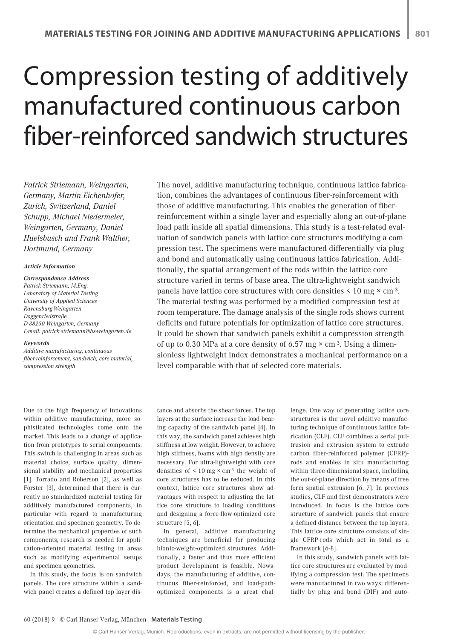# Compression testing of additively manufactured continuous carbon fiber-reinforced sandwich structures

*Patrick Striemann, Weingarten, Germany, Martin Eichenhofer, Zurich, Switzerland, Daniel Schupp, Michael Niedermeier, Weingarten, Germany, Daniel Huelsbusch and Frank Walther, Dortmund, Germany*

#### *Article Information*

#### *Correspondence Address*

*Patrick Striemann, M.Eng. Laboratory of Material Testing University of Applied Sciences Ravensburg-Weingarten Doggenriedstraße D-88250 Weingarten, Germany E-mail: patrick.striemann@hs-weingarten.de*

#### *Keywords*

*Additive manufacturing, continuous fiber-reinforcement, sandwich, core material, compression strength*

Due to the high frequency of innovations within additive manufacturing, more sophisticated technologies come onto the market. This leads to a change of application from prototypes to serial components. This switch is challenging in areas such as material choice, surface quality, dimensional stability and mechanical properties [1]. Torrado and Roberson [2], as well as Forster [3], determined that there is currently no standardized material testing for additively manufactured components, in particular with regard to manufacturing orientation and specimen geometry. To determine the mechanical properties of such components, research is needed for application-oriented material testing in areas such as modifying experimental setups and specimen geometries.

In this study, the focus is on sandwich panels. The core structure within a sandwich panel creates a defined top layer disThe novel, additive manufacturing technique, continuous lattice fabrication, combines the advantages of continuous fiber-reinforcement with those of additive manufacturing. This enables the generation of fiberreinforcement within a single layer and especially along an out-of-plane load path inside all spatial dimensions. This study is a test-related evaluation of sandwich panels with lattice core structures modifying a compression test. The specimens were manufactured differentially via plug and bond and automatically using continuous lattice fabrication. Additionally, the spatial arrangement of the rods within the lattice core structure varied in terms of base area. The ultra-lightweight sandwich panels have lattice core structures with core densities  $\leq 10$  mg  $\times$  cm<sup>-3</sup>. The material testing was performed by a modified compression test at room temperature. The damage analysis of the single rods shows current deficits and future potentials for optimization of lattice core structures. It could be shown that sandwich panels exhibit a compression strength of up to 0.30 MPa at a core density of 6.57 mg  $\times$  cm<sup>-3</sup>. Using a dimensionless lightweight index demonstrates a mechanical performance on a level comparable with that of selected core materials.

tance and absorbs the shear forces. The top layers at the surface increase the load-bearing capacity of the sandwich panel [4]. In this way, the sandwich panel achieves high stiffness at low weight. However, to achieve high stiffness, foams with high density are necessary. For ultra-lightweight with core densities of  $\leq 10$  mg  $\times$  cm<sup>-3</sup> the weight of core structures has to be reduced. In this context, lattice core structures show advantages with respect to adjusting the lattice core structure to loading conditions and designing a force-flow-optimized core structure [5, 6].

In general, additive manufacturing techniques are beneficial for producing bionic-weight-optimized structures. Additionally, a faster and thus more efficient product development is feasible. Nowadays, the manufacturing of additive, continuous fiber-reinforced, and load-pathoptimized components is a great challenge. One way of generating lattice core structures is the novel additive manufacturing technique of continuous lattice fabrication (CLF). CLF combines a serial pultrusion and extrusion system to extrude carbon fiber-reinforced polymer (CFRP) rods and enables in situ manufacturing within three-dimensional space, including the out-of-plane direction by means of free form spatial extrusion [6, 7]. In previous studies, CLF and first demonstrators were introduced. In focus is the lattice core structure of sandwich panels that ensure a defined distance between the top layers. This lattice core structure consists of single CFRP-rods which act in total as a framework [6-8].

In this study, sandwich panels with lattice core structures are evaluated by modifying a compression test. The specimens were manufactured in two ways: differentially by plug and bond (DIF) and auto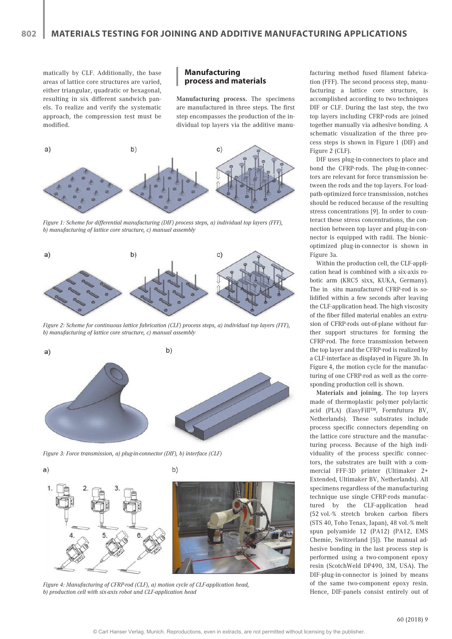matically by CLF. Additionally, the base areas of lattice core structures are varied, either triangular, quadratic or hexagonal, resulting in six different sandwich panels. To realize and verify the systematic approach, the compression test must be modified.

#### **Manufacturing process and materials**

Manufacturing process. The specimens are manufactured in three steps. The first step encompasses the production of the individual top layers via the additive manu-



*Figure 1: Scheme for differential manufacturing (DIF) process steps, a) individual top layers (FFF), b) manufacturing of lattice core structure, c) manual assembly*



*Figure 2: Scheme for continuous lattice fabrication (CLF) process steps, a) individual top layers (FFF), b) manufacturing of lattice core structure, c) manual assembly*



*Figure 3: Force transmission, a) plug-in-connector (DIF), b) interface (CLF)*

a)

b)



*Figure 4: Manufacturing of CFRP-rod (CLF), a) motion cycle of CLF-application head, b) production cell with six-axis robot und CLF-application head*

facturing method fused filament fabrication (FFF). The second process step, manufacturing a lattice core structure, is accomplished according to two techniques DIF or CLF. During the last step, the two top layers including CFRP-rods are joined together manually via adhesive bonding. A schematic visualization of the three process steps is shown in Figure 1 (DIF) and Figure 2 (CLF).

DIF uses plug-in-connectors to place and bond the CFRP-rods. The plug-in-connectors are relevant for force transmission between the rods and the top layers. For loadpath-optimized force transmission, notches should be reduced because of the resulting stress concentrations [9]. In order to counteract these stress concentrations, the connection between top layer and plug-in-connector is equipped with radii. The bionicoptimized plug-in-connector is shown in Figure 3a.

Within the production cell, the CLF-application head is combined with a six-axis robotic arm (KRC5 sixx, KUKA, Germany). The in situ manufactured CFRP-rod is solidified within a few seconds after leaving the CLF-application head. The high viscosity of the fiber filled material enables an extrusion of CFRP-rods out-of-plane without further support structures for forming the CFRP-rod. The force transmission between the top layer and the CFRP-rod is realized by a CLF-interface as displayed in Figure 3b. In Figure 4, the motion cycle for the manufacturing of one CFRP-rod as well as the corresponding production cell is shown.

Materials and joining. The top layers made of thermoplastic polymer polylactic acid (PLA) (EasyFill™, Formfutura BV, Netherlands). These substrates include process specific connectors depending on the lattice core structure and the manufacturing process. Because of the high individuality of the process specific connectors, the substrates are built with a commercial FFF-3D printer (Ultimaker 2+ Extended, Ultimaker BV, Netherlands). All specimens regardless of the manufacturing technique use single CFRP-rods manufactured by the CLF-application head (52 vol.-% stretch broken carbon fibers (STS 40, Toho Tenax, Japan), 48 vol.-% melt spun polyamide 12 (PA12) (PA12, EMS Chemie, Switzerland [5]). The manual adhesive bonding in the last process step is performed using a two-component epoxy resin (ScotchWeld DP490, 3M, USA). The DIF-plug-in-connector is joined by means of the same two-component epoxy resin. Hence, DIF-panels consist entirely out of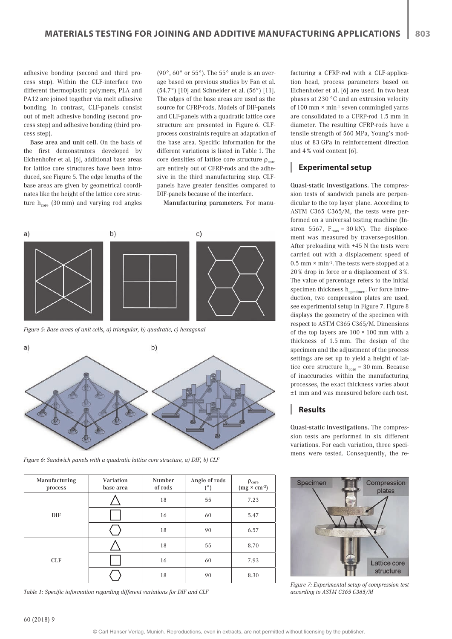adhesive bonding (second and third process step). Within the CLF-interface two different thermoplastic polymers, PLA and PA12 are joined together via melt adhesive bonding. In contrast, CLF-panels consist out of melt adhesive bonding (second process step) and adhesive bonding (third process step).

Base area and unit cell. On the basis of the first demonstrators developed by Eichenhofer et al. [6], additional base areas for lattice core structures have been introduced, see Figure 5. The edge lengths of the base areas are given by geometrical coordinates like the height of the lattice core structure  $h_{core}$  (30 mm) and varying rod angles

(90 $^{\circ}$ , 60 $^{\circ}$  or 55 $^{\circ}$ ). The 55 $^{\circ}$  angle is an average based on previous studies by Fan et al. (54.7°) [10] and Schneider et al. (56°) [11]. The edges of the base areas are used as the source for CFRP-rods. Models of DIF-panels and CLF-panels with a quadratic lattice core structure are presented in Figure 6. CLFprocess constraints require an adaptation of the base area. Specific information for the different variations is listed in Table 1. The core densities of lattice core structure  $\rho_{\text{core}}$ are entirely out of CFRP-rods and the adhesive in the third manufacturing step. CLFpanels have greater densities compared to DIF-panels because of the interface.

Manufacturing parameters. For manu-



*Figure 5: Base areas of unit cells, a) triangular, b) quadratic, c) hexagonal*



*Figure 6: Sandwich panels with a quadratic lattice core structure, a) DIF, b) CLF*

| Manufacturing<br>process | Variation<br>base area | Number<br>of rods | Angle of rods<br>(0) | $\rho_{\rm core}$<br>$(mg \times cm^{-3})$ |
|--------------------------|------------------------|-------------------|----------------------|--------------------------------------------|
| DIF                      |                        | 18                | 55                   | 7.23                                       |
|                          |                        | 16                | 60                   | 5.47                                       |
|                          |                        | 18                | 90                   | 6.57                                       |
| <b>CLF</b>               |                        | 18                | 55                   | 8.70                                       |
|                          |                        | 16                | 60                   | 7.93                                       |
|                          |                        | 18                | 90                   | 8.30                                       |

*Table 1: Specific information regarding different variations for DIF and CLF*

facturing a CFRP-rod with a CLF-application head, process parameters based on Eichenhofer et al. [6] are used. In two heat phases at 230 °C and an extrusion velocity of 100 mm × min-1 seven commingled yarns are consolidated to a CFRP-rod 1.5 mm in diameter. The resulting CFRP-rods have a tensile strength of 560 MPa, Young's modulus of 83 GPa in reinforcement direction and 4 % void content [6].

#### **Experimental setup**

Quasi-static investigations. The compression tests of sandwich panels are perpendicular to the top layer plane. According to ASTM C365 C365/M, the tests were performed on a universal testing machine (Instron 5567,  $F_{max}$  = 30 kN). The displacement was measured by traverse-position. After preloading with +45 N the tests were carried out with a displacement speed of  $0.5$  mm  $\times$  min<sup>-1</sup>. The tests were stopped at a 20 % drop in force or a displacement of 3 %. The value of percentage refers to the initial specimen thickness  $h_{\text{specimen}}$ . For force introduction, two compression plates are used, see experimental setup in Figure 7. Figure 8 displays the geometry of the specimen with respect to ASTM C365 C365/M. Dimensions of the top layers are  $100 \times 100$  mm with a thickness of 1.5 mm. The design of the specimen and the adjustment of the process settings are set up to yield a height of lattice core structure  ${\rm h_{core}}$  = 30 mm. Because of inaccuracies within the manufacturing processes, the exact thickness varies about ±1 mm and was measured before each test.

### **Results**

Quasi-static investigations. The compression tests are performed in six different variations. For each variation, three specimens were tested. Consequently, the re-



*Figure 7: Experimental setup of compression test according to ASTM C365 C365/M*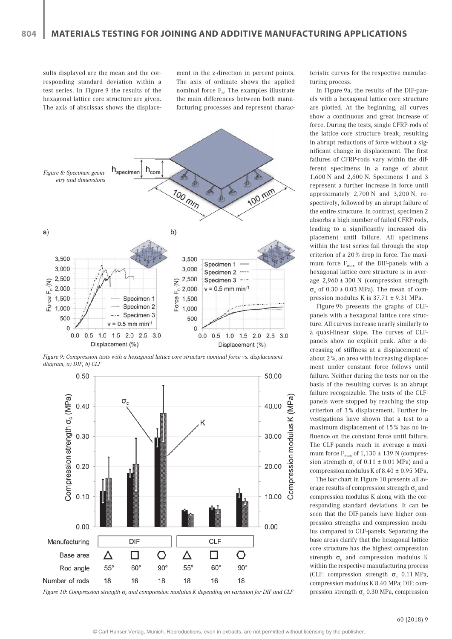sults displayed are the mean and the corresponding standard deviation within a test series. In Figure 9 the results of the hexagonal lattice core structure are given. The axis of abscissas shows the displacement in the z-direction in percent points. The axis of ordinate shows the applied nominal force  $F_n$ . The examples illustrate the main differences between both manufacturing processes and represent charac-



*Figure 9: Compression tests with a hexagonal lattice core structure nominal force vs. displacement diagram, a) DIF, b) CLF*



*Figure 10: Compression strength* σ*c and compression modulus K depending on variation for DIF and CLF*

teristic curves for the respective manufacturing process.

In Figure 9a, the results of the DIF-panels with a hexagonal lattice core structure are plotted. At the beginning, all curves show a continuous and great increase of force. During the tests, single CFRP-rods of the lattice core structure break, resulting in abrupt reductions of force without a significant change in displacement. The first failures of CFRP-rods vary within the different specimens in a range of about 1,600 N and 2,600 N. Specimens 1 and 3 represent a further increase in force until approximately 2,700 N and 3,200 N, respectively, followed by an abrupt failure of the entire structure. In contrast, specimen 2 absorbs a high number of failed CFRP-rods, leading to a significantly increased displacement until failure. All specimens within the test series fail through the stop criterion of a 20 % drop in force. The maximum force  $F_{\text{max}}$  of the DIF-panels with a hexagonal lattice core structure is in average 2,960 ± 300 N (compression strength σ<sub>c</sub> of  $0.30 \pm 0.03$  MPa). The mean of compression modulus K is 37.71 ± 9.31 MPa.

Figure 9b presents the graphs of CLFpanels with a hexagonal lattice core structure. All curves increase nearly similarly to a quasi-linear slope. The curves of CLFpanels show no explicit peak. After a decreasing of stiffness at a displacement of about 2 %, an area with increasing displacement under constant force follows until failure. Neither during the tests nor on the basis of the resulting curves is an abrupt failure recognizable. The tests of the CLFpanels were stopped by reaching the stop criterion of 3 % displacement. Further investigations have shown that a test to a maximum displacement of 15 % has no influence on the constant force until failure. The CLF-panels reach in average a maximum force  $F_{max}$  of 1,130  $\pm$  139 N (compression strength  $\sigma$  of 0.11  $\pm$  0.01 MPa) and a compression modulus K of  $8.40 \pm 0.95$  MPa.

The bar chart in Figure 10 presents all average results of compression strength  $\sigma_c$  and compression modulus K along with the corresponding standard deviations. It can be seen that the DIF-panels have higher compression strengths and compression modulus compared to CLF-panels. Separating the base areas clarify that the hexagonal lattice core structure has the highest compression strength  $\sigma_c$  and compression modulus K within the respective manufacturing process (CLF: compression strength  $\sigma_c$  0.11 MPa, compression modulus K 8.40 MPa; DIF: compression strength  $\sigma_c$  0.30 MPa, compression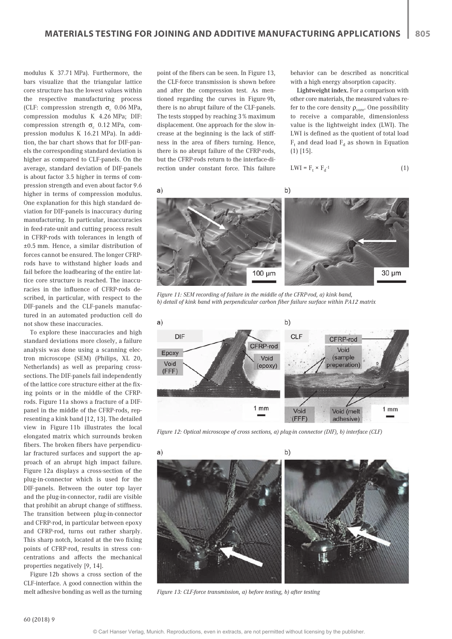modulus K 37.71 MPa). Furthermore, the bars visualize that the triangular lattice core structure has the lowest values within the respective manufacturing process (CLF: compression strength  $\sigma_c$  0.06 MPa, compression modulus K 4.26 MPa; DIF: compression strength  $\sigma_c$  0.12 MPa, compression modulus K 16.21 MPa). In addition, the bar chart shows that for DIF-panels the corresponding standard deviation is higher as compared to CLF-panels. On the average, standard deviation of DIF-panels is about factor 3.5 higher in terms of compression strength and even about factor 9.6 higher in terms of compression modulus. One explanation for this high standard deviation for DIF-panels is inaccuracy during manufacturing. In particular, inaccuracies in feed-rate-unit and cutting process result in CFRP-rods with tolerances in length of ±0.5 mm. Hence, a similar distribution of forces cannot be ensured. The longer CFRProds have to withstand higher loads and fail before the loadbearing of the entire lattice core structure is reached. The inaccuracies in the influence of CFRP-rods described, in particular, with respect to the DIF-panels and the CLF-panels manufactured in an automated production cell do not show these inaccuracies.

To explore these inaccuracies and high standard deviations more closely, a failure analysis was done using a scanning electron microscope (SEM) (Philips, XL 20, Netherlands) as well as preparing crosssections. The DIF-panels fail independently of the lattice core structure either at the fixing points or in the middle of the CFRProds. Figure 11a shows a fracture of a DIFpanel in the middle of the CFRP-rods, representing a kink band [12, 13]. The detailed view in Figure 11b illustrates the local elongated matrix which surrounds broken fibers. The broken fibers have perpendicular fractured surfaces and support the approach of an abrupt high impact failure. Figure 12a displays a cross-section of the plug-in-connector which is used for the DIF-panels. Between the outer top layer and the plug-in-connector, radii are visible that prohibit an abrupt change of stiffness. The transition between plug-in-connector and CFRP-rod, in particular between epoxy and CFRP-rod, turns out rather sharply. This sharp notch, located at the two fixing points of CFRP-rod, results in stress concentrations and affects the mechanical properties negatively [9, 14].

Figure 12b shows a cross section of the CLF-interface. A good connection within the melt adhesive bonding as well as the turning point of the fibers can be seen. In Figure 13, the CLF-force transmission is shown before and after the compression test. As mentioned regarding the curves in Figure 9b, there is no abrupt failure of the CLF-panels. The tests stopped by reaching 3 % maximum displacement. One approach for the slow increase at the beginning is the lack of stiffness in the area of fibers turning. Hence, there is no abrupt failure of the CFRP-rods, but the CFRP-rods return to the interface-direction under constant force. This failure

 $a)$ 



(1) [15].

 $LWI = F_t \times F_d^{-1}$ 

behavior can be described as noncritical with a high energy absorption capacity. Lightweight index. For a comparison with other core materials, the measured values refer to the core density  $\rho_{\text{core}}$ . One possibility to receive a comparable, dimensionless value is the lightweight index (LWI). The LWI is defined as the quotient of total load  $\mathrm{F_{t}}$  and dead load  $\mathrm{F_{d}}$  as shown in Equation

 $^{-1}$  (1)

*Figure 11: SEM recording of failure in the middle of the CFRP-rod, a) kink band, b) detail of kink band with perpendicular carbon fiber failure surface within PA12 matrix*



*Figure 12: Optical microscope of cross sections, a) plug-in connector (DIF), b) interface (CLF)*



*Figure 13: CLF-force transmission, a) before testing, b) after testing*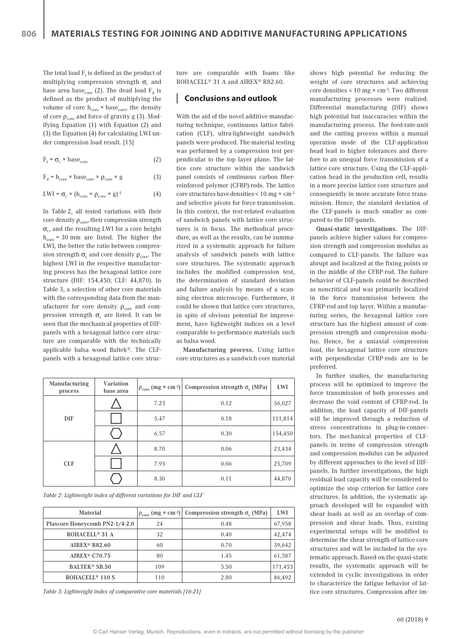The total load  $\mathrm{F_{t}}$  is defined as the product of multiplying compression strength  $\sigma_c$  and base area base<sub>core</sub> (2). The dead load  $F_d$  is defined as the product of multiplying the volume of core  $h_{\text{core}} \times \text{base}_{\text{core}}$ , the density of core  $\rho_{\text{core}}$  and force of gravity g (3). Modifying Equation (1) with Equation (2) and (3) the Equation (4) for calculating LWI under compression load result. [15]

$$
F_t = \sigma_c \times \text{base}_{\text{core}} \tag{2}
$$

 $\label{eq:12} \mathbf{F_{d}=h_{core}\times base_{core}\times \rho_{core}\times g} \tag{3}$ 

$$
LWI = \sigma_c \times (h_{core} \times \rho_{core} \times g)^{-1}
$$
 (4)

In Table 2, all tested variations with their core density  $\rho_{\rm core},$  their compression strength  $\sigma_c$ , and the resulting LWI for a core height  $h_{core}$  = 30 mm are listed. The higher the LWI, the better the ratio between compression strength  $\sigma_c$  and core density  $\rho_{core}$ . The highest LWI in the respective manufacturing process has the hexagonal lattice core structure (DIF: 154,450; CLF: 44,870). In Table 3, a selection of other core materials with the corresponding data from the manufacturer for core density  $\rho_{\text{core}}$  and compression strength  $\sigma_c$  are listed. It can be seen that the mechanical properties of DIFpanels with a hexagonal lattice core structure are comparable with the technically applicable balsa wood Baltek®. The CLFpanels with a hexagonal lattice core structure are comparable with foams like ROHACELL® 31 A and AIREX® R82.60.

#### **Conclusions and outlook**

With the aid of the novel additive manufacturing technique, continuous lattice fabrication (CLF), ultra-lightweight sandwich panels were produced. The material testing was performed by a compression test perpendicular to the top layer plane. The lattice core structure within the sandwich panel consists of continuous carbon fiberreinforced polymer (CFRP)-rods. The lattice core structures have densities  $\leq 10$  mg  $\times$  cm<sup>-3</sup> and selective pivots for force transmission. In this context, the test-related evaluation of sandwich panels with lattice core structures is in focus. The methodical procedure, as well as the results, can be summarized in a systematic approach for failure analysis of sandwich panels with lattice core structures. The systematic approach includes the modified compression test, the determination of standard deviation and failure analysis by means of a scanning electron microscope. Furthermore, it could be shown that lattice core structures, in spite of obvious potential for improvement, have lightweight indices on a level comparable to performance materials such as balsa wood.

Manufacturing process. Using lattice core structures as a sandwich core material

| Manufacturing<br>process | Variation<br>base area | $ \rho_{\rm core}$ (mg × cm <sup>-3</sup> ) | Compression strength $\sigma_c$ (MPa) | LWI     |
|--------------------------|------------------------|---------------------------------------------|---------------------------------------|---------|
| <b>DIF</b>               |                        | 7.23                                        | 0.12                                  | 56,027  |
|                          |                        | 5.47                                        | 0.18                                  | 111,814 |
|                          |                        | 6.57                                        | 0.30                                  | 154,450 |
| <b>CLF</b>               |                        | 8.70                                        | 0.06                                  | 23,434  |
|                          |                        | 7.93                                        | 0.06                                  | 25,709  |
|                          |                        | 8.30                                        | 0.11                                  | 44,870  |

*Table 2: Lightweight index of different variations for DIF and CLF*

| Material                       | $\rho_{\rm core}$ | $\left(\text{mg} \times \text{cm}^{-3}\right)$ Compression strength $\sigma_c$ (MPa) | LWI     |
|--------------------------------|-------------------|--------------------------------------------------------------------------------------|---------|
| Plascore Honeycomb PN2-1/4-2.0 | 24                | 0.48                                                                                 | 67,958  |
| ROHACELL <sup>®</sup> 31 A     | 32                | 0.40                                                                                 | 42,474  |
| AIREX <sup>®</sup> R82.60      | 60                | 0.70                                                                                 | 39,642  |
| AIREX <sup>®</sup> C70.75      | 80                | 1.45                                                                                 | 61,587  |
| <b>BALTEK® SB.50</b>           | 109               | 5.50                                                                                 | 171,453 |
| ROHACELL <sup>®</sup> 110 S    | 110               | 2.80                                                                                 | 86,492  |

*Table 3: Lightweight index of comparative core materials [16-21]*

shows high potential for reducing the weight of core structures and achieving core densities < 10 mg × cm-3. Two different manufacturing processes were realized. Differential manufacturing (DIF) shows high potential but inaccuracies within the manufacturing process. The feed-rate-unit and the cutting process within a manual operation mode of the CLF-application head lead to higher tolerances and therefore to an unequal force transmission of a lattice core structure. Using the CLF-application head in the production cell, results in a more precise lattice core structure and consequently in more accurate force transmission. Hence, the standard deviation of the CLF-panels is much smaller as compared to the DIF-panels.

Quasi-static investigations. The DIFpanels achieve higher values for compression strength and compression modulus as compared to CLF-panels. The failure was abrupt and localized at the fixing points or in the middle of the CFRP-rod. The failure behavior of CLF-panels could be described as noncritical and was primarily localized in the force transmission between the CFRP-rod and top layer. Within a manufacturing series, the hexagonal lattice core structure has the highest amount of compression strength and compression modulus. Hence, for a uniaxial compression load, the hexagonal lattice core structure with perpendicular CFRP-rods are to be preferred.

In further studies, the manufacturing process will be optimized to improve the force transmission of both processes and decrease the void content of CFRP-rod. In addition, the load capacity of DIF-panels will be improved through a reduction of stress concentrations in plug-in-connectors. The mechanical properties of CLFpanels in terms of compression strength and compression modulus can be adjusted by different approaches to the level of DIFpanels. In further investigations, the high residual load capacity will be considered to optimize the stop criterion for lattice core structures. In addition, the systematic approach developed will be expanded with shear loads as well as an overlap of compression and shear loads. Thus, existing experimental setups will be modified to determine the shear strength of lattice core structures and will be included in the systematic approach. Based on the quasi-static results, the systematic approach will be extended in cyclic investigations in order to characterize the fatigue behavior of lattice core structures. Compression after im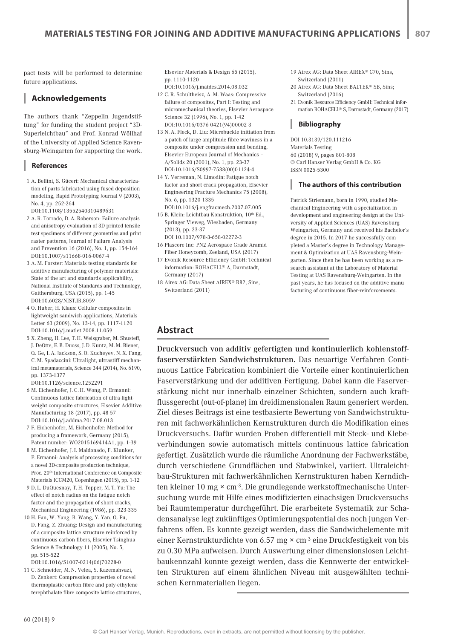pact tests will be performed to determine future applications.

## **Acknowledgements**

The authors thank "Zeppelin Jugendstiftung" for funding the student project "3D-Superleichtbau" and Prof. Konrad Wöllhaf of the University of Applied Science Ravensburg-Weingarten for supporting the work.

#### **References**

- 1 A. Bellini, S. Güceri: Mechanical characterization of parts fabricated using fused deposition modeling, Rapid Prototyping Journal 9 (2003), No. 4, pp. 252-264 DOI:10.1108/13552540310489631
- 2 A. R. Torrado, D. A. Roberson: Failure analysis and anisotropy evaluation of 3D-printed tensile test specimens of different geometries and print raster patterns, Journal of Failure Analysis and Prevention 16 (2016), No. 1, pp. 154-164 DOI:10.1007/s11668-016-0067-4
- 3 A. M. Forster: Materials testing standards for additive manufacturing of polymer materials: State of the art and standards applicability, National Institute of Standards and Technology, Gaithersburg, USA (2015), pp. 1-45 DOI:10.6028/NIST.IR.8059
- 4 O. Huber, H. Klaus: Cellular composites in lightweight sandwich applications, Materials Letter 63 (2009), No. 13-14, pp. 1117-1120 DOI:10.1016/j.matlet.2008.11.059
- 5 X. Zheng, H. Lee, T.H. Weisgraber, M. Shusteff, J. DeOtte, E. B. Duoss, J.D. Kuntz, M. M. Biener, Q. Ge, J. A. Jackson, S. O. Kucheyev, N. X. Fang, C. M. Spadaccini: Ultralight, ultrastiff mechanical metamaterials, Science 344 (2014), No. 6190, pp. 1373-1377 DOI:10.1126/science.1252291
- 6 M. Eichenhofer, J. C. H. Wong, P. Ermanni:
- Continuous lattice fabrication of ultra-lightweight composite structures, Elsevier Additive Manufacturing 18 (2017), pp. 48-57 DOI:10.1016/j.addma.2017.08.013
- 7 F. Eichenhofer, M. Eichenhofer: Method for producing a framework, Germany (2015), Patent number: WO2015169414A1, pp. 1-39
- 8 M. Eichenhofer, J. I. Maldonado, F. Klunker, P. Ermanni: Analysis of processing conditions for a novel 3D-composite production technique, Proc. 20th International Conference on Composite Materials ICCM20, Copenhagen (2015), pp. 1-12
- 9 D. L. DuQuesnay, T. H. Topper, M. T. Yu: The effect of notch radius on the fatigue notch factor and the propagation of short cracks, Mechanical Engineering (1986), pp. 323-335
- 10 H. Fan, W. Yang, B. Wang, Y. Yan, Q. Fu, D. Fang, Z. Zhuang: Design and manufacturing of a composite lattice structure reinforced by continuous carbon fibers, Elsevier Tsinghua Science & Technology 11 (2005), No. 5, pp. 515-522
- DOI:10.1016/S1007-0214(06)70228-0
- 11 C. Schneider, M. N. Velea, S. Kazemahvazi, D. Zenkert: Compression properties of novel thermoplastic carbon fibre and poly-ethylene terephthalate fibre composite lattice structures,

Elsevier Materials & Design 65 (2015), pp. 1110-1120 DOI:10.1016/j.matdes.2014.08.032

- 12 C. R. Schultheisz, A. M. Waas: Compressive failure of composites, Part I: Testing and micromechanical theories, Elsevier Aerospace Science 32 (1996), No. 1, pp. 1-42 DOI:10.1016/0376-0421(94)00002-3
- 13 N. A. Fleck, D. Liu: Microbuckle initiation from a patch of large amplitude fibre waviness in a composite under compression and bending, Elsevier European Journal of Mechanics – A/Solids 20 (2001), No. 1, pp. 23-37 DOI:10.1016/S0997-7538(00)01124-4
- 14 Y. Verreman, N. Limodin: Fatigue notch factor and short crack propagation, Elsevier Engineering Fracture Mechanics 75 (2008), No. 6, pp. 1320-1335
- DOI:10.1016/j.engfracmech.2007.07.005 15 B. Klein: Leichtbau-Konstruktion, 10th Ed., Springer Vieweg, Wiesbaden, Germany (2013), pp. 23-37 DOI 10.1007/978-3-658-02272-3
- 16 Plascore Inc: PN2 Aerospace Grade Aramid
- Fiber Honeycomb, Zeeland, USA (2017) 17 Evonik Resource Efficiency GmbH: Technical information: ROHACELL® A, Darmstadt, Germany (2017)
- 18 Airex AG: Data Sheet AIREX® R82, Sins, Switzerland (2011)
- 19 Airex AG: Data Sheet AIREX® C70, Sins, Switzerland (2011)
- 20 Airex AG: Data Sheet BALTEK® SB, Sins; Switzerland (2016)
- 21 Evonik Resource Efficiency GmbH: Technical information ROHACELL® S, Darmstadt, Germany (2017)

## **Bibliography**

DOI 10.3139/120.111216 Materials Testing 60 (2018) 9, pages 801-808 © Carl Hanser Verlag GmbH & Co. KG ISSN 0025-5300

#### **The authors of this contribution**

Patrick Striemann, born in 1990, studied Mechanical Engineering with a specialization in development and engineering design at the University of Applied Sciences (UAS) Ravensburg-Weingarten, Germany and received his Bachelor's degree in 2015. In 2017 he successfully completed a Master's degree in Technology Management & Optimization at UAS Ravensburg-Weingarten. Since then he has been working as a research assistant at the Laboratory of Material Testing at UAS Ravensburg-Weingarten. In the past years, he has focused on the additive manufacturing of continuous fiber-reinforcements.

## **Abstract**

Druckversuch von additiv gefertigten und kontinuierlich kohlenstofffaserverstärkten Sandwichstrukturen. Das neuartige Verfahren Continuous Lattice Fabrication kombiniert die Vorteile einer kontinuierlichen Faserverstärkung und der additiven Fertigung. Dabei kann die Faserverstärkung nicht nur innerhalb einzelner Schichten, sondern auch kraftflussgerecht (out-of-plane) im dreidimensionalen Raum generiert werden. Ziel dieses Beitrags ist eine testbasierte Bewertung von Sandwichstrukturen mit fachwerkähnlichen Kernstrukturen durch die Modifikation eines Druckversuchs. Dafür wurden Proben differentiell mit Steck- und Klebeverbindungen sowie automatisch mittels continuous lattice fabrication gefertigt. Zusätzlich wurde die räumliche Anordnung der Fachwerkstäbe, durch verschiedene Grundflächen und Stabwinkel, variiert. Ultraleichtbau-Strukturen mit fachwerkähnlichen Kernstrukturen haben Kerndichten kleiner 10 mg × cm-3. Die grundlegende werkstoffmechanische Untersuchung wurde mit Hilfe eines modifizierten einachsigen Druckversuchs bei Raumtemperatur durchgeführt. Die erarbeitete Systematik zur Schadensanalyse legt zukünftiges Optimierungspotential des noch jungen Verfahrens offen. Es konnte gezeigt werden, dass die Sandwichelemente mit einer Kernstrukturdichte von 6.57 mg × cm-3 eine Druckfestigkeit von bis zu 0.30 MPa aufweisen. Durch Auswertung einer dimensionslosen Leichtbaukennzahl konnte gezeigt werden, dass die Kennwerte der entwickelten Strukturen auf einem ähnlichen Niveau mit ausgewählten technischen Kernmaterialien liegen.